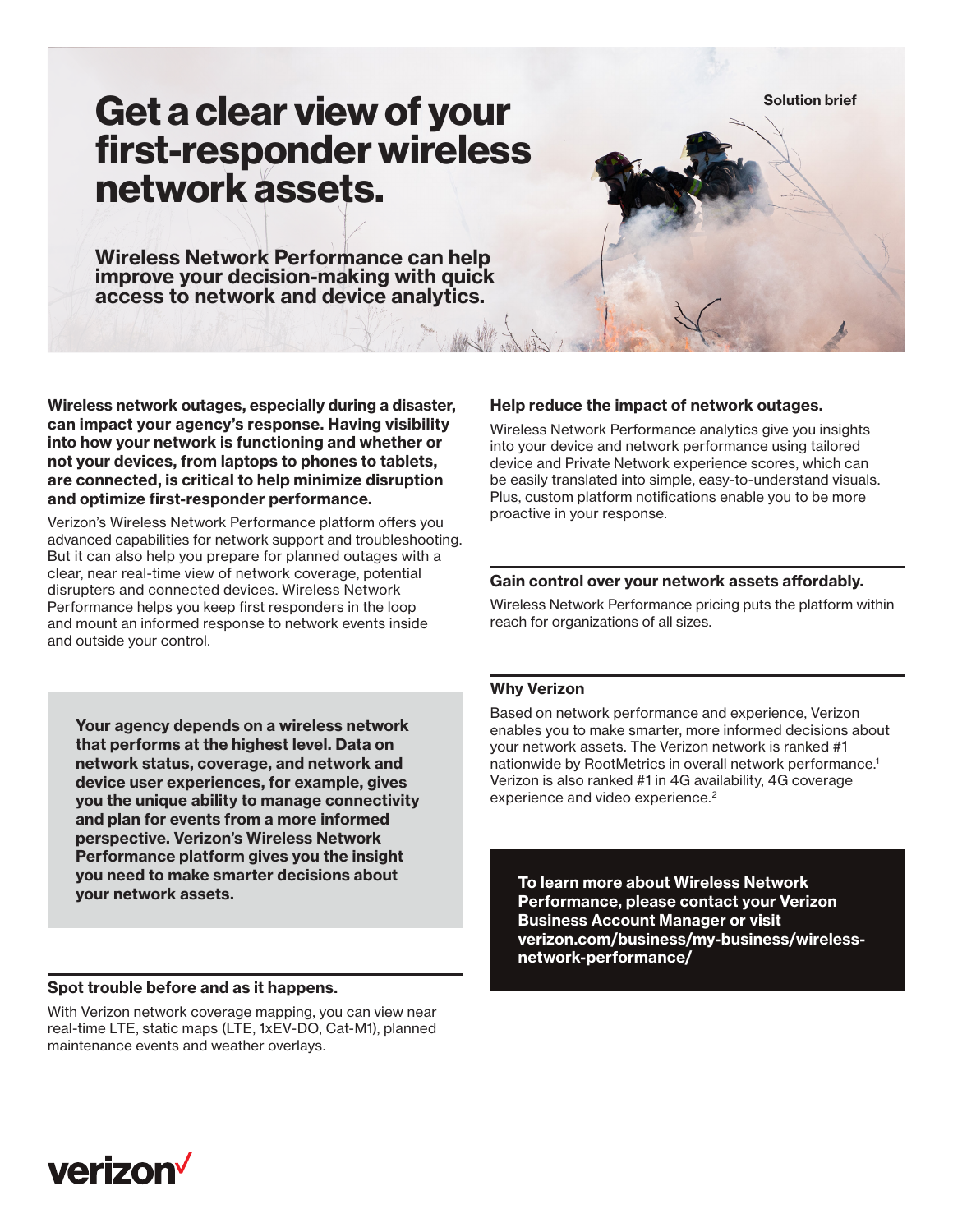**Solution brief**

# **Get a clear view of your first-responder wireless network assets.**

**Wireless Network Performance can help improve your decision-making with quick access to network and device analytics.**

**Wireless network outages, especially during a disaster, can impact your agency's response. Having visibility into how your network is functioning and whether or not your devices, from laptops to phones to tablets, are connected, is critical to help minimize disruption and optimize first-responder performance.**

Verizon's Wireless Network Performance platform offers you advanced capabilities for network support and troubleshooting. But it can also help you prepare for planned outages with a clear, near real-time view of network coverage, potential disrupters and connected devices. Wireless Network Performance helps you keep first responders in the loop and mount an informed response to network events inside and outside your control.

**Your agency depends on a wireless network that performs at the highest level. Data on network status, coverage, and network and device user experiences, for example, gives you the unique ability to manage connectivity and plan for events from a more informed perspective. Verizon's Wireless Network Performance platform gives you the insight you need to make smarter decisions about your network assets. To learn more about Wireless Network** 

### **Spot trouble before and as it happens.**

With Verizon network coverage mapping, you can view near real-time LTE, static maps (LTE, 1xEV-DO, Cat-M1), planned maintenance events and weather overlays.

# **Help reduce the impact of network outages.**

Wireless Network Performance analytics give you insights into your device and network performance using tailored device and Private Network experience scores, which can be easily translated into simple, easy-to-understand visuals. Plus, custom platform notifications enable you to be more proactive in your response.

# **Gain control over your network assets affordably.**

Wireless Network Performance pricing puts the platform within reach for organizations of all sizes.

#### **Why Verizon**

Based on network performance and experience, Verizon enables you to make smarter, more informed decisions about your network assets. The Verizon network is ranked #1 nationwide by RootMetrics in overall network performance.1 Verizon is also ranked #1 in 4G availability, 4G coverage experience and video experience.<sup>2</sup>

**Performance, please contact your Verizon Business Account Manager or visit [verizon.com/business/my-business/wireless](http://www.verizon.com/business/my-business/wireless-network-performance/)[network-performance/](http://www.verizon.com/business/my-business/wireless-network-performance/)**